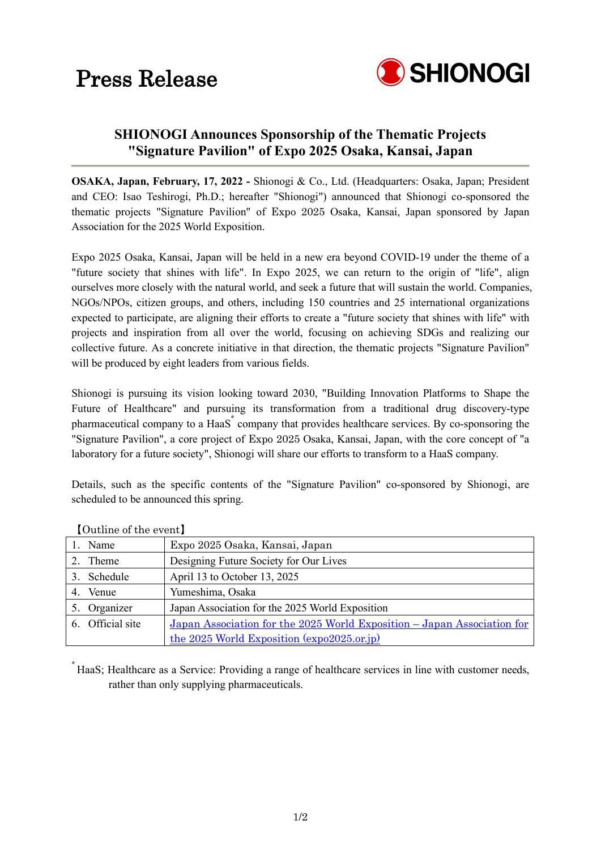## Press Release



### **SHIONOGI Announces Sponsorship of the Thematic Projects "Signature Pavilion" of Expo 2025 Osaka, Kansai, Japan**

**OSAKA, Japan, February, 17, 2022 -** Shionogi & Co., Ltd. (Headquarters: Osaka, Japan; President and CEO: Isao Teshirogi, Ph.D.; hereafter "Shionogi") announced that Shionogi co-sponsored the thematic projects "Signature Pavilion" of Expo 2025 Osaka, Kansai, Japan sponsored by Japan Association for the 2025 World Exposition.

Expo 2025 Osaka, Kansai, Japan will be held in a new era beyond COVID-19 under the theme of a "future society that shines with life". In Expo 2025, we can return to the origin of "life", align ourselves more closely with the natural world, and seek a future that will sustain the world. Companies, NGOs/NPOs, citizen groups, and others, including 150 countries and 25 international organizations expected to participate, are aligning their efforts to create a "future society that shines with life" with projects and inspiration from all over the world, focusing on achieving SDGs and realizing our collective future. As a concrete initiative in that direction, the thematic projects "Signature Pavilion" will be produced by eight leaders from various fields.

Shionogi is pursuing its vision looking toward 2030, "Building Innovation Platforms to Shape the Future of Healthcare" and pursuing its transformation from a traditional drug discovery-type pharmaceutical company to a HaaS<sup>\*</sup> company that provides healthcare services. By co-sponsoring the "Signature Pavilion", a core project of Expo 2025 Osaka, Kansai, Japan, with the core concept of "a laboratory for a future society", Shionogi will share our efforts to transform to a HaaS company.

Details, such as the specific contents of the "Signature Pavilion" co-sponsored by Shionogi, are scheduled to be announced this spring.

| $\sim$ 0.000 0.000 0.000 0.000 0.000 0.000 0.000 0.000 0.000 0.000 0.000 0.000 0.000 0.000 0.000 0.000 0.000 0.000 0.000 0.000 0.000 0.000 0.000 0.000 0.000 0.000 0.000 0.000 0.000 0.000 0.000 0.000 0.000 0.000 0.000 0.000 |                                                                         |  |
|--------------------------------------------------------------------------------------------------------------------------------------------------------------------------------------------------------------------------------|-------------------------------------------------------------------------|--|
| 1. Name                                                                                                                                                                                                                        | Expo 2025 Osaka, Kansai, Japan                                          |  |
| 2. Theme                                                                                                                                                                                                                       | Designing Future Society for Our Lives                                  |  |
| 3. Schedule                                                                                                                                                                                                                    | April 13 to October 13, 2025                                            |  |
| 4. Venue                                                                                                                                                                                                                       | Yumeshima, Osaka                                                        |  |
| 5. Organizer                                                                                                                                                                                                                   | Japan Association for the 2025 World Exposition                         |  |
| 6. Official site                                                                                                                                                                                                               | Japan Association for the 2025 World Exposition – Japan Association for |  |
|                                                                                                                                                                                                                                | the 2025 World Exposition (expo2025.or.jp)                              |  |

【Outline of the event】

\* HaaS; Healthcare as a Service: Providing a range of healthcare services in line with customer needs, rather than only supplying pharmaceuticals.